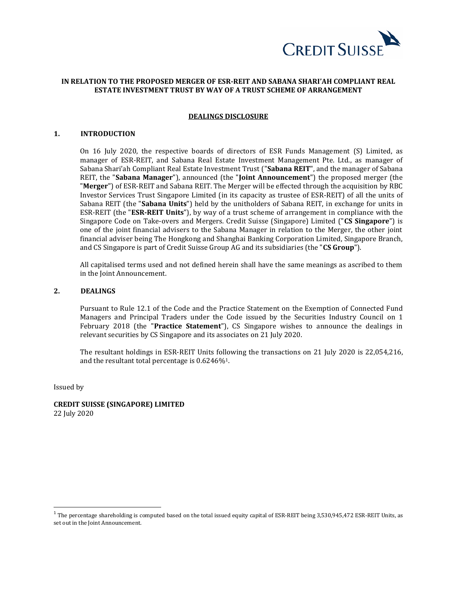

## **IN RELATION TO THE PROPOSED MERGER OF ESR-REIT AND SABANA SHARI'AH COMPLIANT REAL ESTATE INVESTMENT TRUST BY WAY OF A TRUST SCHEME OF ARRANGEMENT**

#### **DEALINGS DISCLOSURE**

#### **1. INTRODUCTION**

On 16 July 2020, the respective boards of directors of ESR Funds Management (S) Limited, as manager of ESR-REIT, and Sabana Real Estate Investment Management Pte. Ltd., as manager of Sabana Shari'ah Compliant Real Estate Investment Trust ("**Sabana REIT**", and the manager of Sabana REIT, the "**Sabana Manager**"), announced (the "**Joint Announcement**") the proposed merger (the "**Merger**") of ESR-REIT and Sabana REIT. The Merger will be effected through the acquisition by RBC Investor Services Trust Singapore Limited (in its capacity as trustee of ESR-REIT) of all the units of Sabana REIT (the "**Sabana Units**") held by the unitholders of Sabana REIT, in exchange for units in ESR-REIT (the "**ESR-REIT Units**"), by way of a trust scheme of arrangement in compliance with the Singapore Code on Take-overs and Mergers. Credit Suisse (Singapore) Limited ("**CS Singapore**") is one of the joint financial advisers to the Sabana Manager in relation to the Merger, the other joint financial adviser being The Hongkong and Shanghai Banking Corporation Limited, Singapore Branch, and CS Singapore is part of Credit Suisse Group AG and its subsidiaries (the "**CS Group**").

All capitalised terms used and not defined herein shall have the same meanings as ascribed to them in the Joint Announcement.

## **2. DEALINGS**

Pursuant to Rule 12.1 of the Code and the Practice Statement on the Exemption of Connected Fund Managers and Principal Traders under the Code issued by the Securities Industry Council on 1 February 2018 (the "**Practice Statement**"), CS Singapore wishes to announce the dealings in relevant securities by CS Singapore and its associates on 21 July 2020.

The resultant holdings in ESR-REIT Units following the transactions on 21 July 2020 is 22,054,216, and the resultant total percentage is 0.6246%1.

Issued by

 $\overline{a}$ 

**CREDIT SUISSE (SINGAPORE) LIMITED** 22 July 2020

 $^1$  The percentage shareholding is computed based on the total issued equity capital of ESR-REIT being 3,530,945,472 ESR-REIT Units, as set out in the Joint Announcement.